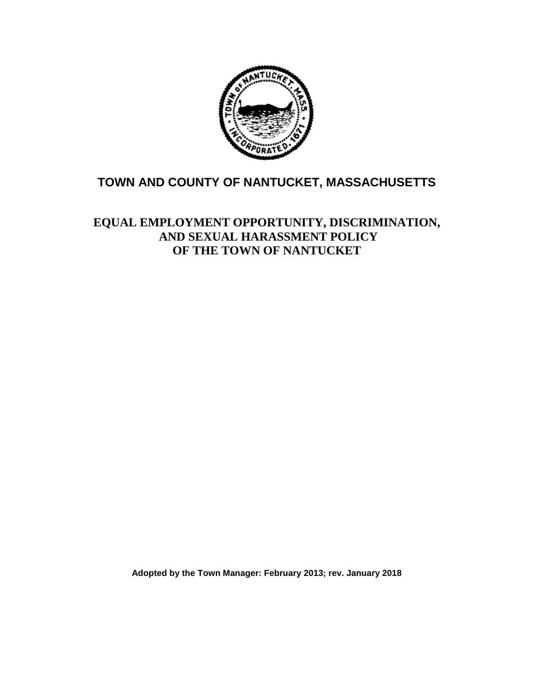

# **TOWN AND COUNTY OF NANTUCKET, MASSACHUSETTS**

# **EQUAL EMPLOYMENT OPPORTUNITY, DISCRIMINATION, AND SEXUAL HARASSMENT POLICY OF THE TOWN OF NANTUCKET**

**Adopted by the Town Manager: February 2013; rev. January 2018**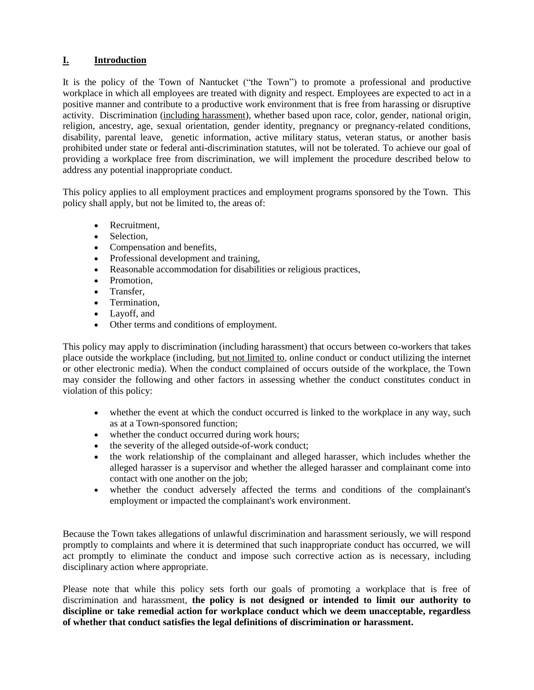## **I. Introduction**

It is the policy of the Town of Nantucket ("the Town") to promote a professional and productive workplace in which all employees are treated with dignity and respect. Employees are expected to act in a positive manner and contribute to a productive work environment that is free from harassing or disruptive activity. Discrimination (including harassment), whether based upon race, color, gender, national origin, religion, ancestry, age, sexual orientation, gender identity, pregnancy or pregnancy-related conditions, disability, parental leave, genetic information, active military status, veteran status, or another basis prohibited under state or federal anti-discrimination statutes, will not be tolerated. To achieve our goal of providing a workplace free from discrimination, we will implement the procedure described below to address any potential inappropriate conduct.

This policy applies to all employment practices and employment programs sponsored by the Town. This policy shall apply, but not be limited to, the areas of:

- Recruitment,
- Selection.
- Compensation and benefits,
- Professional development and training,
- Reasonable accommodation for disabilities or religious practices,
- Promotion,
- Transfer,
- Termination,
- Layoff, and
- Other terms and conditions of employment.

This policy may apply to discrimination (including harassment) that occurs between co-workers that takes place outside the workplace (including, but not limited to, online conduct or conduct utilizing the internet or other electronic media). When the conduct complained of occurs outside of the workplace, the Town may consider the following and other factors in assessing whether the conduct constitutes conduct in violation of this policy:

- whether the event at which the conduct occurred is linked to the workplace in any way, such as at a Town-sponsored function;
- whether the conduct occurred during work hours;
- the severity of the alleged outside-of-work conduct;
- the work relationship of the complainant and alleged harasser, which includes whether the alleged harasser is a supervisor and whether the alleged harasser and complainant come into contact with one another on the job;
- whether the conduct adversely affected the terms and conditions of the complainant's employment or impacted the complainant's work environment.

Because the Town takes allegations of unlawful discrimination and harassment seriously, we will respond promptly to complaints and where it is determined that such inappropriate conduct has occurred, we will act promptly to eliminate the conduct and impose such corrective action as is necessary, including disciplinary action where appropriate.

Please note that while this policy sets forth our goals of promoting a workplace that is free of discrimination and harassment, **the policy is not designed or intended to limit our authority to discipline or take remedial action for workplace conduct which we deem unacceptable, regardless of whether that conduct satisfies the legal definitions of discrimination or harassment.**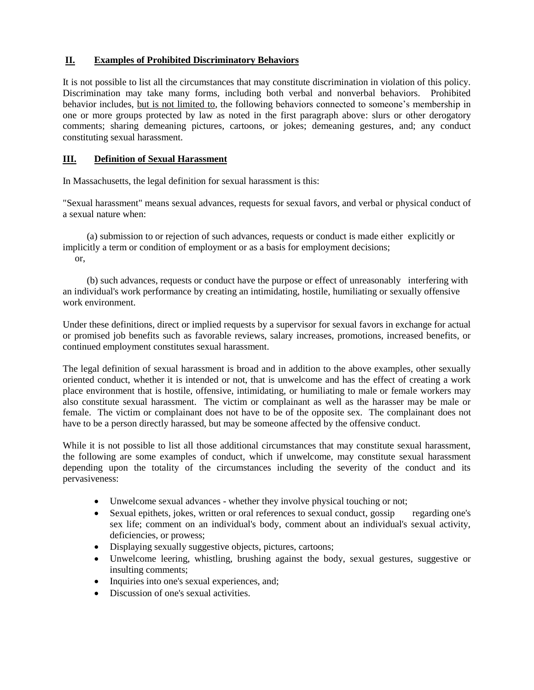#### **II. Examples of Prohibited Discriminatory Behaviors**

It is not possible to list all the circumstances that may constitute discrimination in violation of this policy. Discrimination may take many forms, including both verbal and nonverbal behaviors. Prohibited behavior includes, but is not limited to, the following behaviors connected to someone's membership in one or more groups protected by law as noted in the first paragraph above: slurs or other derogatory comments; sharing demeaning pictures, cartoons, or jokes; demeaning gestures, and; any conduct constituting sexual harassment.

#### **III. Definition of Sexual Harassment**

In Massachusetts, the legal definition for sexual harassment is this:

"Sexual harassment" means sexual advances, requests for sexual favors, and verbal or physical conduct of a sexual nature when:

 (a) submission to or rejection of such advances, requests or conduct is made either explicitly or implicitly a term or condition of employment or as a basis for employment decisions; or,

 (b) such advances, requests or conduct have the purpose or effect of unreasonably interfering with an individual's work performance by creating an intimidating, hostile, humiliating or sexually offensive work environment.

Under these definitions, direct or implied requests by a supervisor for sexual favors in exchange for actual or promised job benefits such as favorable reviews, salary increases, promotions, increased benefits, or continued employment constitutes sexual harassment.

The legal definition of sexual harassment is broad and in addition to the above examples, other sexually oriented conduct, whether it is intended or not, that is unwelcome and has the effect of creating a work place environment that is hostile, offensive, intimidating, or humiliating to male or female workers may also constitute sexual harassment. The victim or complainant as well as the harasser may be male or female. The victim or complainant does not have to be of the opposite sex. The complainant does not have to be a person directly harassed, but may be someone affected by the offensive conduct.

While it is not possible to list all those additional circumstances that may constitute sexual harassment, the following are some examples of conduct, which if unwelcome, may constitute sexual harassment depending upon the totality of the circumstances including the severity of the conduct and its pervasiveness:

- Unwelcome sexual advances whether they involve physical touching or not;
- Sexual epithets, jokes, written or oral references to sexual conduct, gossip regarding one's sex life; comment on an individual's body, comment about an individual's sexual activity, deficiencies, or prowess;
- Displaying sexually suggestive objects, pictures, cartoons;
- Unwelcome leering, whistling, brushing against the body, sexual gestures, suggestive or insulting comments;
- Inquiries into one's sexual experiences, and;
- Discussion of one's sexual activities.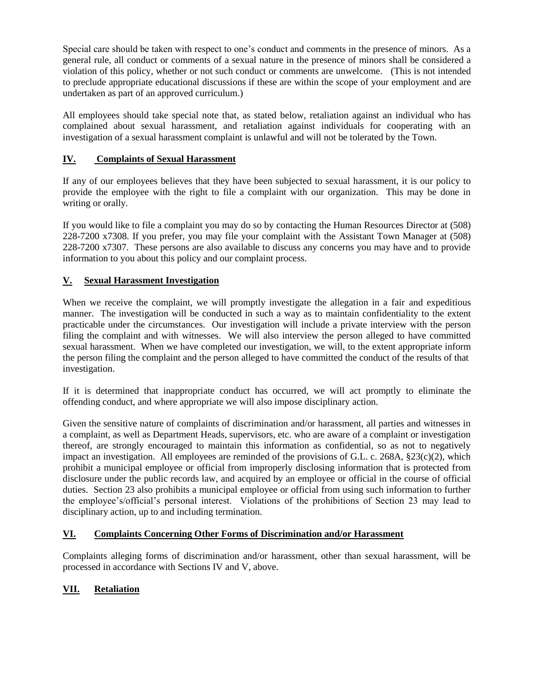Special care should be taken with respect to one's conduct and comments in the presence of minors. As a general rule, all conduct or comments of a sexual nature in the presence of minors shall be considered a violation of this policy, whether or not such conduct or comments are unwelcome. (This is not intended to preclude appropriate educational discussions if these are within the scope of your employment and are undertaken as part of an approved curriculum.)

All employees should take special note that, as stated below, retaliation against an individual who has complained about sexual harassment, and retaliation against individuals for cooperating with an investigation of a sexual harassment complaint is unlawful and will not be tolerated by the Town.

### **IV. Complaints of Sexual Harassment**

If any of our employees believes that they have been subjected to sexual harassment, it is our policy to provide the employee with the right to file a complaint with our organization. This may be done in writing or orally.

If you would like to file a complaint you may do so by contacting the Human Resources Director at (508) 228-7200 x7308. If you prefer, you may file your complaint with the Assistant Town Manager at (508) 228-7200 x7307. These persons are also available to discuss any concerns you may have and to provide information to you about this policy and our complaint process.

## **V. Sexual Harassment Investigation**

When we receive the complaint, we will promptly investigate the allegation in a fair and expeditious manner. The investigation will be conducted in such a way as to maintain confidentiality to the extent practicable under the circumstances. Our investigation will include a private interview with the person filing the complaint and with witnesses. We will also interview the person alleged to have committed sexual harassment. When we have completed our investigation, we will, to the extent appropriate inform the person filing the complaint and the person alleged to have committed the conduct of the results of that investigation.

If it is determined that inappropriate conduct has occurred, we will act promptly to eliminate the offending conduct, and where appropriate we will also impose disciplinary action.

Given the sensitive nature of complaints of discrimination and/or harassment, all parties and witnesses in a complaint, as well as Department Heads, supervisors, etc. who are aware of a complaint or investigation thereof, are strongly encouraged to maintain this information as confidential, so as not to negatively impact an investigation. All employees are reminded of the provisions of G.L. c. 268A, §23(c)(2), which prohibit a municipal employee or official from improperly disclosing information that is protected from disclosure under the public records law, and acquired by an employee or official in the course of official duties. Section 23 also prohibits a municipal employee or official from using such information to further the employee's/official's personal interest. Violations of the prohibitions of Section 23 may lead to disciplinary action, up to and including termination.

#### **VI. Complaints Concerning Other Forms of Discrimination and/or Harassment**

Complaints alleging forms of discrimination and/or harassment, other than sexual harassment, will be processed in accordance with Sections IV and V, above.

#### **VII. Retaliation**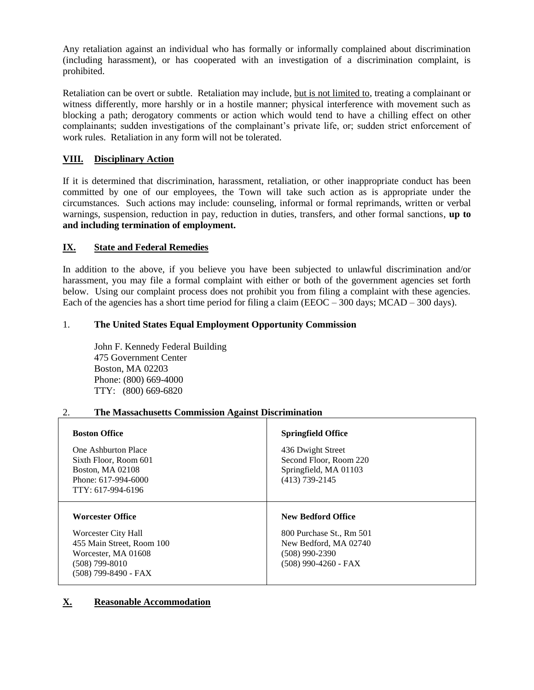Any retaliation against an individual who has formally or informally complained about discrimination (including harassment), or has cooperated with an investigation of a discrimination complaint, is prohibited.

Retaliation can be overt or subtle. Retaliation may include, but is not limited to, treating a complainant or witness differently, more harshly or in a hostile manner; physical interference with movement such as blocking a path; derogatory comments or action which would tend to have a chilling effect on other complainants; sudden investigations of the complainant's private life, or; sudden strict enforcement of work rules. Retaliation in any form will not be tolerated.

#### **VIII. Disciplinary Action**

If it is determined that discrimination, harassment, retaliation, or other inappropriate conduct has been committed by one of our employees, the Town will take such action as is appropriate under the circumstances. Such actions may include: counseling, informal or formal reprimands, written or verbal warnings, suspension, reduction in pay, reduction in duties, transfers, and other formal sanctions, **up to and including termination of employment.**

### **IX. State and Federal Remedies**

In addition to the above, if you believe you have been subjected to unlawful discrimination and/or harassment, you may file a formal complaint with either or both of the government agencies set forth below. Using our complaint process does not prohibit you from filing a complaint with these agencies. Each of the agencies has a short time period for filing a claim ( $EEOC - 300 \text{ days}$ ;  $MCAD - 300 \text{ days}$ ).

#### 1. **The United States Equal Employment Opportunity Commission**

John F. Kennedy Federal Building 475 Government Center Boston, MA 02203 Phone: (800) 669-4000 TTY: (800) 669-6820

#### 2. **The Massachusetts Commission Against Discrimination**

| <b>Boston Office</b><br>One Ashburton Place<br>Sixth Floor, Room 601<br><b>Boston, MA 02108</b><br>Phone: 617-994-6000<br>TTY: 617-994-6196    | <b>Springfield Office</b><br>436 Dwight Street<br>Second Floor, Room 220<br>Springfield, MA 01103<br>$(413)$ 739-2145        |
|------------------------------------------------------------------------------------------------------------------------------------------------|------------------------------------------------------------------------------------------------------------------------------|
| <b>Worcester Office</b><br>Worcester City Hall<br>455 Main Street, Room 100<br>Worcester, MA 01608<br>$(508)$ 799-8010<br>(508) 799-8490 - FAX | <b>New Bedford Office</b><br>800 Purchase St., Rm 501<br>New Bedford, MA 02740<br>$(508)$ 990-2390<br>$(508)$ 990-4260 - FAX |

## **X. Reasonable Accommodation**